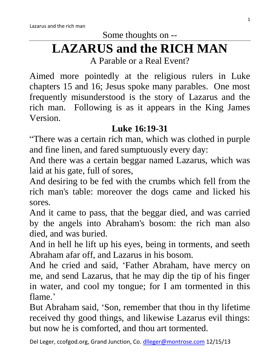# **LAZARUS and the RICH MAN**

A Parable or a Real Event?

Aimed more pointedly at the religious rulers in Luke chapters 15 and 16; Jesus spoke many parables. One most frequently misunderstood is the story of Lazarus and the rich man. Following is as it appears in the King James Version.

# **Luke 16:19-31**

"There was a certain rich man, which was clothed in purple and fine linen, and fared sumptuously every day:

And there was a certain beggar named Lazarus, which was laid at his gate, full of sores,

And desiring to be fed with the crumbs which fell from the rich man's table: moreover the dogs came and licked his sores.

And it came to pass, that the beggar died, and was carried by the angels into Abraham's bosom: the rich man also died, and was buried.

And in hell he lift up his eyes, being in torments, and seeth Abraham afar off, and Lazarus in his bosom.

And he cried and said, 'Father Abraham, have mercy on me, and send Lazarus, that he may dip the tip of his finger in water, and cool my tongue; for I am tormented in this flame.'

But Abraham said, 'Son, remember that thou in thy lifetime received thy good things, and likewise Lazarus evil things: but now he is comforted, and thou art tormented.

Del Leger, ccofgod.org, Grand Junction, Co. [dlleger@montrose.com](mailto:dlleger@montrose.com) 12/15/13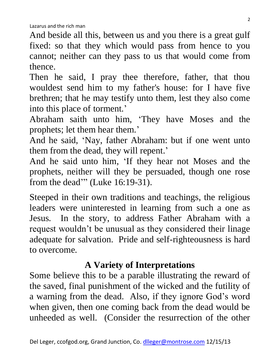And beside all this, between us and you there is a great gulf fixed: so that they which would pass from hence to you cannot; neither can they pass to us that would come from thence.

Then he said, I pray thee therefore, father, that thou wouldest send him to my father's house: for I have five brethren; that he may testify unto them, lest they also come into this place of torment.'

Abraham saith unto him, 'They have Moses and the prophets; let them hear them.'

And he said, 'Nay, father Abraham: but if one went unto them from the dead, they will repent.'

And he said unto him, 'If they hear not Moses and the prophets, neither will they be persuaded, though one rose from the dead'" (Luke 16:19-31).

Steeped in their own traditions and teachings, the religious leaders were uninterested in learning from such a one as Jesus. In the story, to address Father Abraham with a request wouldn't be unusual as they considered their linage adequate for salvation. Pride and self-righteousness is hard to overcome.

#### **A Variety of Interpretations**

Some believe this to be a parable illustrating the reward of the saved, final punishment of the wicked and the futility of a warning from the dead. Also, if they ignore God's word when given, then one coming back from the dead would be unheeded as well. (Consider the resurrection of the other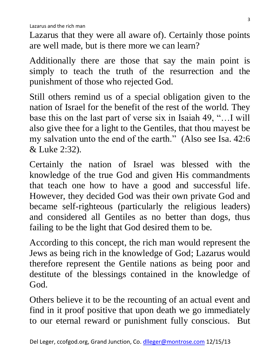Lazarus that they were all aware of). Certainly those points are well made, but is there more we can learn?

Additionally there are those that say the main point is simply to teach the truth of the resurrection and the punishment of those who rejected God.

Still others remind us of a special obligation given to the nation of Israel for the benefit of the rest of the world. They base this on the last part of verse six in Isaiah 49, "…I will also give thee for a light to the Gentiles, that thou mayest be my salvation unto the end of the earth." (Also see Isa. 42:6 & Luke 2:32).

Certainly the nation of Israel was blessed with the knowledge of the true God and given His commandments that teach one how to have a good and successful life. However, they decided God was their own private God and became self-righteous (particularly the religious leaders) and considered all Gentiles as no better than dogs, thus failing to be the light that God desired them to be.

According to this concept, the rich man would represent the Jews as being rich in the knowledge of God; Lazarus would therefore represent the Gentile nations as being poor and destitute of the blessings contained in the knowledge of God.

Others believe it to be the recounting of an actual event and find in it proof positive that upon death we go immediately to our eternal reward or punishment fully conscious. But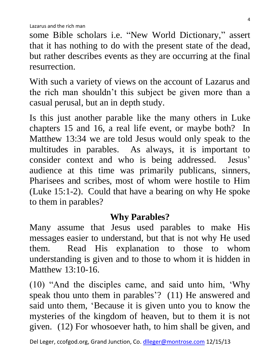some Bible scholars i.e. "New World Dictionary," assert that it has nothing to do with the present state of the dead, but rather describes events as they are occurring at the final resurrection.

With such a variety of views on the account of Lazarus and the rich man shouldn't this subject be given more than a casual perusal, but an in depth study.

Is this just another parable like the many others in Luke chapters 15 and 16, a real life event, or maybe both? In Matthew 13:34 we are told Jesus would only speak to the multitudes in parables. As always, it is important to consider context and who is being addressed. Jesus' audience at this time was primarily publicans, sinners, Pharisees and scribes, most of whom were hostile to Him (Luke 15:1-2). Could that have a bearing on why He spoke to them in parables?

#### **Why Parables?**

Many assume that Jesus used parables to make His messages easier to understand, but that is not why He used them. Read His explanation to those to whom understanding is given and to those to whom it is hidden in Matthew 13:10-16.

(10) "And the disciples came, and said unto him, 'Why speak thou unto them in parables'? (11) He answered and said unto them, 'Because it is given unto you to know the mysteries of the kingdom of heaven, but to them it is not given. (12) For whosoever hath, to him shall be given, and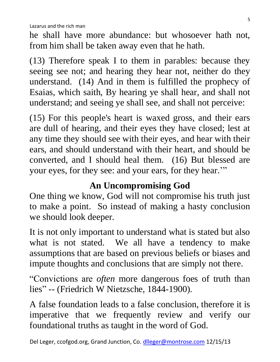he shall have more abundance: but whosoever hath not, from him shall be taken away even that he hath.

(13) Therefore speak I to them in parables: because they seeing see not; and hearing they hear not, neither do they understand. (14) And in them is fulfilled the prophecy of Esaias, which saith, By hearing ye shall hear, and shall not understand; and seeing ye shall see, and shall not perceive:

(15) For this people's heart is waxed gross, and their ears are dull of hearing, and their eyes they have closed; lest at any time they should see with their eyes, and hear with their ears, and should understand with their heart, and should be converted, and I should heal them. (16) But blessed are your eyes, for they see: and your ears, for they hear.""

# **An Uncompromising God**

One thing we know, God will not compromise his truth just to make a point. So instead of making a hasty conclusion we should look deeper.

It is not only important to understand what is stated but also what is not stated. We all have a tendency to make assumptions that are based on previous beliefs or biases and impute thoughts and conclusions that are simply not there.

"Convictions are *often* more dangerous foes of truth than lies" -- (Friedrich W Nietzsche, 1844-1900).

A false foundation leads to a false conclusion, therefore it is imperative that we frequently review and verify our foundational truths as taught in the word of God.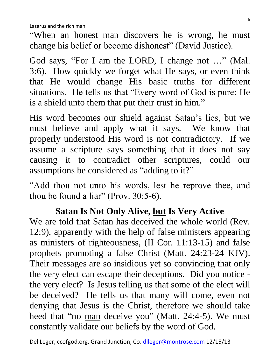"When an honest man discovers he is wrong, he must change his belief or become dishonest" (David Justice).

God says, "For I am the LORD, I change not …" (Mal. 3:6). How quickly we forget what He says, or even think that He would change His basic truths for different situations. He tells us that "Every word of God is pure: He is a shield unto them that put their trust in him."

His word becomes our shield against Satan's lies, but we must believe and apply what it says. We know that properly understood His word is not contradictory. If we assume a scripture says something that it does not say causing it to contradict other scriptures, could our assumptions be considered as "adding to it?"

"Add thou not unto his words, lest he reprove thee, and thou be found a liar" (Prov. 30:5-6).

#### **Satan Is Not Only Alive, but Is Very Active**

We are told that Satan has deceived the whole world (Rev. 12:9), apparently with the help of false ministers appearing as ministers of righteousness, (II Cor. 11:13-15) and false prophets promoting a false Christ (Matt. 24:23-24 KJV). Their messages are so insidious yet so convincing that only the very elect can escape their deceptions. Did you notice the very elect? Is Jesus telling us that some of the elect will be deceived? He tells us that many will come, even not denying that Jesus is the Christ, therefore we should take heed that "no man deceive you" (Matt. 24:4-5). We must constantly validate our beliefs by the word of God.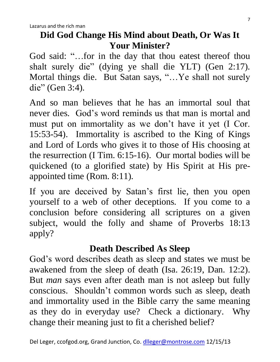## **Did God Change His Mind about Death, Or Was It Your Minister?**

God said: "…for in the day that thou eatest thereof thou shalt surely die" (dying ye shall die YLT) (Gen 2:17). Mortal things die. But Satan says, "…Ye shall not surely die" (Gen 3:4).

And so man believes that he has an immortal soul that never dies. God's word reminds us that man is mortal and must put on immortality as we don't have it yet (I Cor. 15:53-54). Immortality is ascribed to the King of Kings and Lord of Lords who gives it to those of His choosing at the resurrection (I Tim. 6:15-16). Our mortal bodies will be quickened (to a glorified state) by His Spirit at His preappointed time (Rom. 8:11).

If you are deceived by Satan's first lie, then you open yourself to a web of other deceptions. If you come to a conclusion before considering all scriptures on a given subject, would the folly and shame of Proverbs 18:13 apply?

# **Death Described As Sleep**

God's word describes death as sleep and states we must be awakened from the sleep of death (Isa. 26:19, Dan. 12:2). But *man* says even after death man is not asleep but fully conscious. Shouldn't common words such as sleep, death and immortality used in the Bible carry the same meaning as they do in everyday use? Check a dictionary. Why change their meaning just to fit a cherished belief?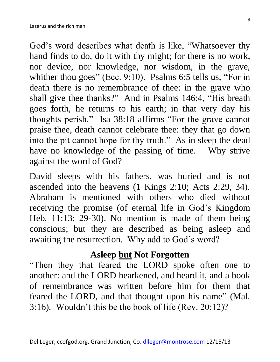God's word describes what death is like, "Whatsoever thy hand finds to do, do it with thy might; for there is no work, nor device, nor knowledge, nor wisdom, in the grave, whither thou goes" (Ecc. 9:10). Psalms 6:5 tells us, "For in death there is no remembrance of thee: in the grave who shall give thee thanks?" And in Psalms 146:4, "His breath goes forth, he returns to his earth; in that very day his thoughts perish." Isa 38:18 affirms "For the grave cannot praise thee, death cannot celebrate thee: they that go down into the pit cannot hope for thy truth." As in sleep the dead have no knowledge of the passing of time. Why strive against the word of God?

David sleeps with his fathers, was buried and is not ascended into the heavens (1 Kings 2:10; Acts 2:29, 34). Abraham is mentioned with others who died without receiving the promise (of eternal life in God's Kingdom Heb. 11:13; 29-30). No mention is made of them being conscious; but they are described as being asleep and awaiting the resurrection. Why add to God's word?

# **Asleep but Not Forgotten**

"Then they that feared the LORD spoke often one to another: and the LORD hearkened, and heard it, and a book of remembrance was written before him for them that feared the LORD, and that thought upon his name" (Mal. 3:16). Wouldn't this be the book of life (Rev. 20:12)?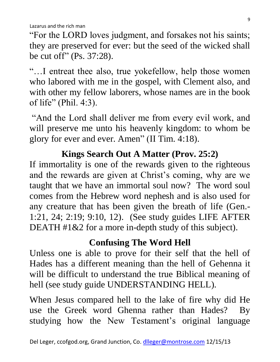"For the LORD loves judgment, and forsakes not his saints; they are preserved for ever: but the seed of the wicked shall be cut off" (Ps. 37:28).

"…I entreat thee also, true yokefellow, help those women who labored with me in the gospel, with Clement also, and with other my fellow laborers, whose names are in the book of life" (Phil. 4:3).

"And the Lord shall deliver me from every evil work, and will preserve me unto his heavenly kingdom: to whom be glory for ever and ever. Amen" (II Tim. 4:18).

#### **Kings Search Out A Matter (Prov. 25:2)**

If immortality is one of the rewards given to the righteous and the rewards are given at Christ's coming, why are we taught that we have an immortal soul now? The word soul comes from the Hebrew word nephesh and is also used for any creature that has been given the breath of life (Gen.- 1:21, 24; 2:19; 9:10, 12). (See study guides LIFE AFTER DEATH #1&2 for a more in-depth study of this subject).

# **Confusing The Word Hell**

Unless one is able to prove for their self that the hell of Hades has a different meaning than the hell of Gehenna it will be difficult to understand the true Biblical meaning of hell (see study guide UNDERSTANDING HELL).

When Jesus compared hell to the lake of fire why did He use the Greek word Ghenna rather than Hades? By studying how the New Testament's original language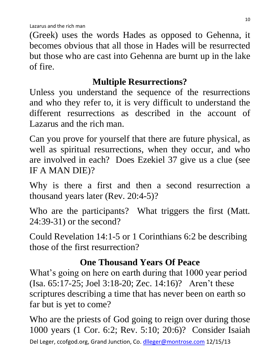(Greek) uses the words Hades as opposed to Gehenna, it becomes obvious that all those in Hades will be resurrected but those who are cast into Gehenna are burnt up in the lake of fire.

# **Multiple Resurrections?**

Unless you understand the sequence of the resurrections and who they refer to, it is very difficult to understand the different resurrections as described in the account of Lazarus and the rich man.

Can you prove for yourself that there are future physical, as well as spiritual resurrections, when they occur, and who are involved in each? Does Ezekiel 37 give us a clue (see IF A MAN DIE)?

Why is there a first and then a second resurrection a thousand years later (Rev. 20:4-5)?

Who are the participants? What triggers the first (Matt. 24:39-31) or the second?

Could Revelation 14:1-5 or 1 Corinthians 6:2 be describing those of the first resurrection?

# **One Thousand Years Of Peace**

What's going on here on earth during that 1000 year period (Isa. 65:17-25; Joel 3:18-20; Zec. 14:16)? Aren't these scriptures describing a time that has never been on earth so far but is yet to come?

Del Leger, ccofgod.org, Grand Junction, Co. [dlleger@montrose.com](mailto:dlleger@montrose.com) 12/15/13 Who are the priests of God going to reign over during those 1000 years (1 Cor. 6:2; Rev. 5:10; 20:6)? Consider Isaiah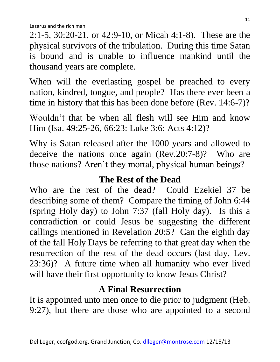2:1-5, 30:20-21, or 42:9-10, or Micah 4:1-8). These are the physical survivors of the tribulation. During this time Satan is bound and is unable to influence mankind until the thousand years are complete.

When will the everlasting gospel be preached to every nation, kindred, tongue, and people? Has there ever been a time in history that this has been done before (Rev. 14:6-7)?

Wouldn't that be when all flesh will see Him and know Him (Isa. 49:25-26, 66:23: Luke 3:6: Acts 4:12)?

Why is Satan released after the 1000 years and allowed to deceive the nations once again (Rev.20:7-8)? Who are those nations? Aren't they mortal, physical human beings?

#### **The Rest of the Dead**

Who are the rest of the dead? Could Ezekiel 37 be describing some of them? Compare the timing of John 6:44 (spring Holy day) to John 7:37 (fall Holy day). Is this a contradiction or could Jesus be suggesting the different callings mentioned in Revelation 20:5? Can the eighth day of the fall Holy Days be referring to that great day when the resurrection of the rest of the dead occurs (last day, Lev. 23:36)? A future time when all humanity who ever lived will have their first opportunity to know Jesus Christ?

# **A Final Resurrection**

It is appointed unto men once to die prior to judgment (Heb. 9:27), but there are those who are appointed to a second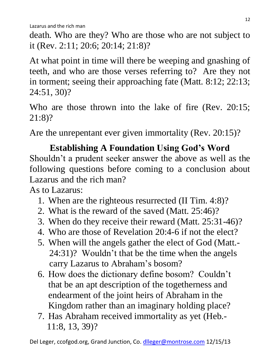death. Who are they? Who are those who are not subject to it (Rev. 2:11; 20:6; 20:14; 21:8)?

At what point in time will there be weeping and gnashing of teeth, and who are those verses referring to? Are they not in torment; seeing their approaching fate (Matt. 8:12; 22:13; 24:51, 30)?

Who are those thrown into the lake of fire (Rev. 20:15; 21:8)?

Are the unrepentant ever given immortality (Rev. 20:15)?

# **Establishing A Foundation Using God's Word** Shouldn't a prudent seeker answer the above as well as the following questions before coming to a conclusion about Lazarus and the rich man?

As to Lazarus:

- 1. When are the righteous resurrected (II Tim. 4:8)?
- 2. What is the reward of the saved (Matt. 25:46)?
- 3. When do they receive their reward (Matt. 25:31-46)?
- 4. Who are those of Revelation 20:4-6 if not the elect?
- 5. When will the angels gather the elect of God (Matt.- 24:31)? Wouldn't that be the time when the angels carry Lazarus to Abraham's bosom?
- 6. How does the dictionary define bosom? Couldn't that be an apt description of the togetherness and endearment of the joint heirs of Abraham in the Kingdom rather than an imaginary holding place?
- 7. Has Abraham received immortality as yet (Heb.- 11:8, 13, 39)?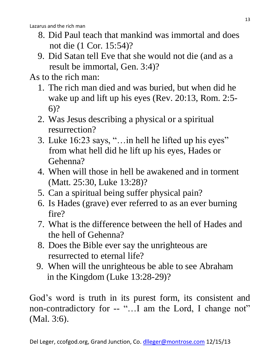- 8. Did Paul teach that mankind was immortal and does not die (1 Cor. 15:54)?
- 9. Did Satan tell Eve that she would not die (and as a result be immortal, Gen. 3:4)?

As to the rich man:

- 1. The rich man died and was buried, but when did he wake up and lift up his eyes (Rev. 20:13, Rom. 2:5- 6)?
- 2. Was Jesus describing a physical or a spiritual resurrection?
- 3. Luke 16:23 says, "…in hell he lifted up his eyes" from what hell did he lift up his eyes, Hades or Gehenna?
- 4. When will those in hell be awakened and in torment (Matt. 25:30, Luke 13:28)?
- 5. Can a spiritual being suffer physical pain?
- 6. Is Hades (grave) ever referred to as an ever burning fire?
- 7. What is the difference between the hell of Hades and the hell of Gehenna?
- 8. Does the Bible ever say the unrighteous are resurrected to eternal life?
- 9. When will the unrighteous be able to see Abraham in the Kingdom (Luke 13:28-29)?

God's word is truth in its purest form, its consistent and non-contradictory for -- "...I am the Lord, I change not" (Mal. 3:6).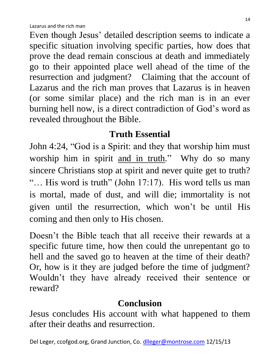Even though Jesus' detailed description seems to indicate a specific situation involving specific parties, how does that prove the dead remain conscious at death and immediately go to their appointed place well ahead of the time of the resurrection and judgment? Claiming that the account of Lazarus and the rich man proves that Lazarus is in heaven (or some similar place) and the rich man is in an ever burning hell now, is a direct contradiction of God's word as revealed throughout the Bible.

# **Truth Essential**

John 4:24, "God is a Spirit: and they that worship him must worship him in spirit and in truth." Why do so many sincere Christians stop at spirit and never quite get to truth? "… His word is truth" (John 17:17). His word tells us man is mortal, made of dust, and will die; immortality is not given until the resurrection, which won't be until His coming and then only to His chosen.

Doesn't the Bible teach that all receive their rewards at a specific future time, how then could the unrepentant go to hell and the saved go to heaven at the time of their death? Or, how is it they are judged before the time of judgment? Wouldn't they have already received their sentence or reward?

# **Conclusion**

Jesus concludes His account with what happened to them after their deaths and resurrection.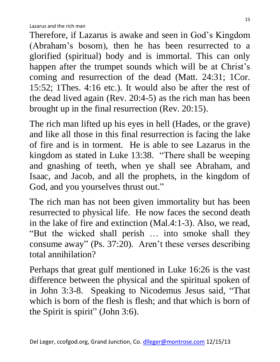Therefore, if Lazarus is awake and seen in God's Kingdom (Abraham's bosom), then he has been resurrected to a glorified (spiritual) body and is immortal. This can only happen after the trumpet sounds which will be at Christ's coming and resurrection of the dead (Matt. 24:31; 1Cor. 15:52; 1Thes. 4:16 etc.). It would also be after the rest of the dead lived again (Rev. 20:4-5) as the rich man has been brought up in the final resurrection (Rev. 20:15).

The rich man lifted up his eyes in hell (Hades, or the grave) and like all those in this final resurrection is facing the lake of fire and is in torment. He is able to see Lazarus in the kingdom as stated in Luke 13:38. "There shall be weeping and gnashing of teeth, when ye shall see Abraham, and Isaac, and Jacob, and all the prophets, in the kingdom of God, and you yourselves thrust out."

The rich man has not been given immortality but has been resurrected to physical life. He now faces the second death in the lake of fire and extinction (Mal.4:1-3). Also, we read, "But the wicked shall perish … into smoke shall they consume away" (Ps. 37:20). Aren't these verses describing total annihilation?

Perhaps that great gulf mentioned in Luke 16:26 is the vast difference between the physical and the spiritual spoken of in John 3:3-8. Speaking to Nicodemus Jesus said, "That which is born of the flesh is flesh; and that which is born of the Spirit is spirit" (John 3:6).